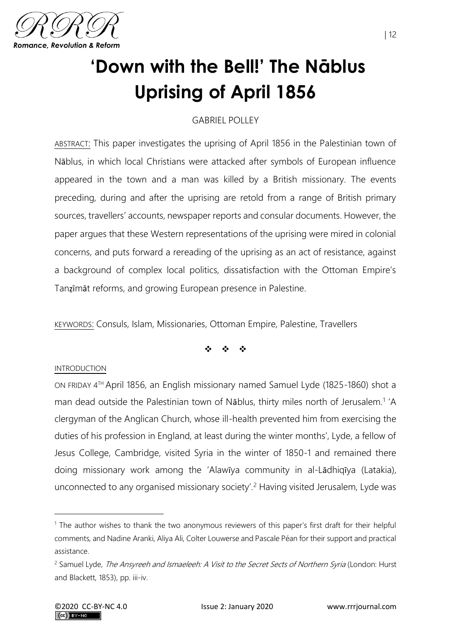

# **'Down with the Bell!' The Nāblus Uprising of April 1856**

## GABRIEL POLLEY

ABSTRACT: This paper investigates the uprising of April 1856 in the Palestinian town of Nāblus, in which local Christians were attacked after symbols of European influence appeared in the town and a man was killed by a British missionary. The events preceding, during and after the uprising are retold from a range of British primary sources, travellers' accounts, newspaper reports and consular documents. However, the paper argues that these Western representations of the uprising were mired in colonial concerns, and puts forward a rereading of the uprising as an act of resistance, against a background of complex local politics, dissatisfaction with the Ottoman Empire's Tanẓīmāt reforms, and growing European presence in Palestine.

KEYWORDS: Consuls, Islam, Missionaries, Ottoman Empire, Palestine, Travellers

❖ ❖ ❖

#### INTRODUCTION

ON FRIDAY 4 TH April 1856, an English missionary named Samuel Lyde (1825-1860) shot a man dead outside the Palestinian town of Nāblus, thirty miles north of Jerusalem.<sup>1</sup> 'A clergyman of the Anglican Church, whose ill-health prevented him from exercising the duties of his profession in England, at least during the winter months', Lyde, a fellow of Jesus College, Cambridge, visited Syria in the winter of 1850-1 and remained there doing missionary work among the 'Alawīya community in al-Lādhiqīya (Latakia), unconnected to any organised missionary society'.<sup>2</sup> Having visited Jerusalem, Lyde was

<sup>1</sup> The author wishes to thank the two anonymous reviewers of this paper's first draft for their helpful comments, and Nadine Aranki, Aliya Ali, Colter Louwerse and Pascale Péan for their support and practical assistance.

<sup>&</sup>lt;sup>2</sup> Samuel Lyde, *The Ansyreeh and Ismaeleeh: A Visit to the Secret Sects of Northern Syria* (London: Hurst and Blackett, 1853), pp. iii-iv.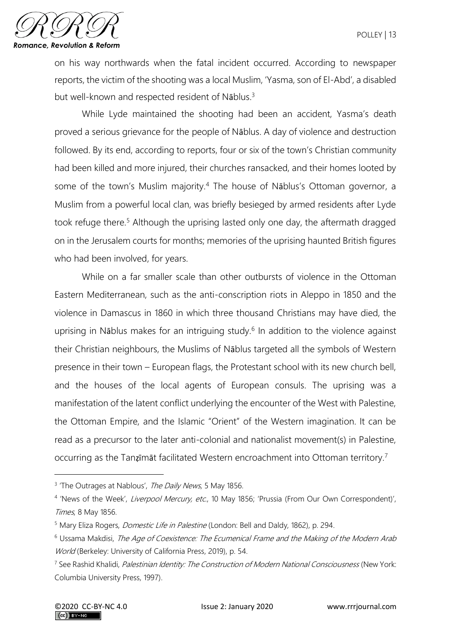

on his way northwards when the fatal incident occurred. According to newspaper reports, the victim of the shooting was a local Muslim, 'Yasma, son of El-Abd', a disabled but well-known and respected resident of Nāblus.<sup>3</sup>

While Lyde maintained the shooting had been an accident, Yasma's death proved a serious grievance for the people of Nāblus. A day of violence and destruction followed. By its end, according to reports, four or six of the town's Christian community had been killed and more injured, their churches ransacked, and their homes looted by some of the town's Muslim majority.<sup>4</sup> The house of Nablus's Ottoman governor, a Muslim from a powerful local clan, was briefly besieged by armed residents after Lyde took refuge there.<sup>5</sup> Although the uprising lasted only one day, the aftermath dragged on in the Jerusalem courts for months; memories of the uprising haunted British figures who had been involved, for years.

While on a far smaller scale than other outbursts of violence in the Ottoman Eastern Mediterranean, such as the anti-conscription riots in Aleppo in 1850 and the violence in Damascus in 1860 in which three thousand Christians may have died, the uprising in Nāblus makes for an intriguing study.<sup>6</sup> In addition to the violence against their Christian neighbours, the Muslims of Nāblus targeted all the symbols of Western presence in their town – European flags, the Protestant school with its new church bell, and the houses of the local agents of European consuls. The uprising was a manifestation of the latent conflict underlying the encounter of the West with Palestine, the Ottoman Empire, and the Islamic "Orient" of the Western imagination. It can be read as a precursor to the later anti-colonial and nationalist movement(s) in Palestine, occurring as the Tanzimat facilitated Western encroachment into Ottoman territory.<sup>7</sup>

<sup>&</sup>lt;sup>3</sup> 'The Outrages at Nablous', The Daily News, 5 May 1856.

<sup>&</sup>lt;sup>4</sup> 'News of the Week', Liverpool Mercury, etc., 10 May 1856; 'Prussia (From Our Own Correspondent)', Times, 8 May 1856.

<sup>&</sup>lt;sup>5</sup> Mary Eliza Rogers, *Domestic Life in Palestine* (London: Bell and Daldy, 1862), p. 294.

<sup>6</sup> Ussama Makdisi, The Age of Coexistence: The Ecumenical Frame and the Making of the Modern Arab World (Berkeley: University of California Press, 2019), p. 54.

<sup>&</sup>lt;sup>7</sup> See Rashid Khalidi, *Palestinian Identity: The Construction of Modern National Consciousness* (New York: Columbia University Press, 1997).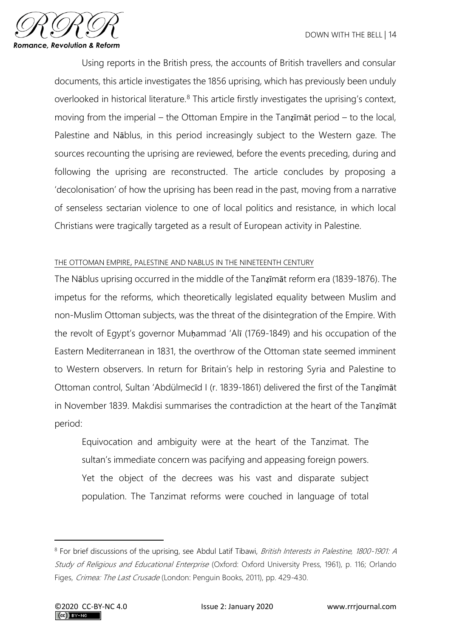

Using reports in the British press, the accounts of British travellers and consular documents, this article investigates the 1856 uprising, which has previously been unduly overlooked in historical literature.<sup>8</sup> This article firstly investigates the uprising's context, moving from the imperial – the Ottoman Empire in the Tanẓīmāt period – to the local, Palestine and Nāblus, in this period increasingly subject to the Western gaze. The sources recounting the uprising are reviewed, before the events preceding, during and following the uprising are reconstructed. The article concludes by proposing a 'decolonisation' of how the uprising has been read in the past, moving from a narrative of senseless sectarian violence to one of local politics and resistance, in which local Christians were tragically targeted as a result of European activity in Palestine.

### THE OTTOMAN EMPIRE, PALESTINE AND NABLUS IN THE NINETEENTH CENTURY

The Nāblus uprising occurred in the middle of the Tanẓīmāt reform era (1839-1876). The impetus for the reforms, which theoretically legislated equality between Muslim and non-Muslim Ottoman subjects, was the threat of the disintegration of the Empire. With the revolt of Egypt's governor Muḥammad 'Alī (1769-1849) and his occupation of the Eastern Mediterranean in 1831, the overthrow of the Ottoman state seemed imminent to Western observers. In return for Britain's help in restoring Syria and Palestine to Ottoman control, Sultan 'Abdülmecīd I (r. 1839-1861) delivered the first of the Tanẓīmāt in November 1839. Makdisi summarises the contradiction at the heart of the Tanẓīmāt period:

Equivocation and ambiguity were at the heart of the Tanzimat. The sultan's immediate concern was pacifying and appeasing foreign powers. Yet the object of the decrees was his vast and disparate subject population. The Tanzimat reforms were couched in language of total

<sup>&</sup>lt;sup>8</sup> For brief discussions of the uprising, see Abdul Latif Tibawi, *British Interests in Palestine, 1800-1901: A* Study of Religious and Educational Enterprise (Oxford: Oxford University Press, 1961), p. 116; Orlando Figes, Crimea: The Last Crusade (London: Penguin Books, 2011), pp. 429-430.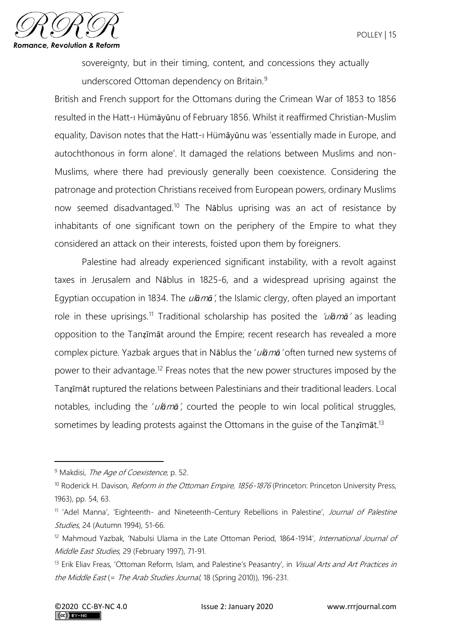

sovereignty, but in their timing, content, and concessions they actually underscored Ottoman dependency on Britain.<sup>9</sup>

British and French support for the Ottomans during the Crimean War of 1853 to 1856 resulted in the Hatt-ı Hümāyūnu of February 1856. Whilst it reaffirmed Christian-Muslim equality, Davison notes that the Hatt-ı Hümāyūnu was 'essentially made in Europe, and autochthonous in form alone'. It damaged the relations between Muslims and non-Muslims, where there had previously generally been coexistence. Considering the patronage and protection Christians received from European powers, ordinary Muslims now seemed disadvantaged.<sup>10</sup> The Nāblus uprising was an act of resistance by inhabitants of one significant town on the periphery of the Empire to what they considered an attack on their interests, foisted upon them by foreigners.

Palestine had already experienced significant instability, with a revolt against taxes in Jerusalem and Nāblus in 1825-6, and a widespread uprising against the Egyptian occupation in 1834. The ul*ā*m*ā*', the Islamic clergy, often played an important role in these uprisings.<sup>11</sup> Traditional scholarship has posited the 'ul*ā*m*ā*' as leading opposition to the Tanẓīmāt around the Empire; recent research has revealed a more complex picture. Yazbak argues that in Nāblus the 'ul*ā*m*ā*' often turned new systems of power to their advantage.<sup>12</sup> Freas notes that the new power structures imposed by the Tanẓīmāt ruptured the relations between Palestinians and their traditional leaders. Local notables, including the 'ul*ā*m*ā*', courted the people to win local political struggles, sometimes by leading protests against the Ottomans in the guise of the Tanzimat.<sup>13</sup>

<sup>&</sup>lt;sup>9</sup> Makdisi, *The Age of Coexistence*, p. 52.

<sup>&</sup>lt;sup>10</sup> Roderick H. Davison, *Reform in the Ottoman Empire, 1856-1876* (Princeton: Princeton University Press, 1963), pp. 54, 63.

<sup>&</sup>lt;sup>11</sup> 'Adel Manna', 'Eighteenth- and Nineteenth-Century Rebellions in Palestine', Journal of Palestine Studies, 24 (Autumn 1994), 51-66.

<sup>&</sup>lt;sup>12</sup> Mahmoud Yazbak, 'Nabulsi Ulama in the Late Ottoman Period, 1864-1914', International Journal of Middle East Studies, 29 (February 1997), 71-91.

<sup>&</sup>lt;sup>13</sup> Erik Eliav Freas, 'Ottoman Reform, Islam, and Palestine's Peasantry', in Visual Arts and Art Practices in the Middle East (= The Arab Studies Journal, 18 (Spring 2010)), 196-231.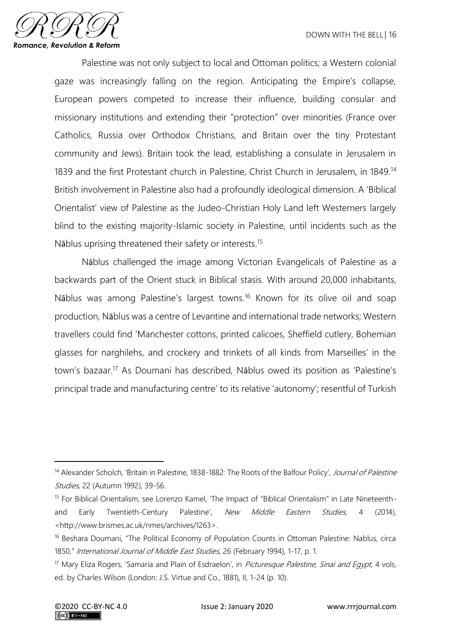

Palestine was not only subject to local and Ottoman politics; a Western colonial gaze was increasingly falling on the region. Anticipating the Empire's collapse, European powers competed to increase their influence, building consular and missionary institutions and extending their "protection" over minorities (France over Catholics, Russia over Orthodox Christians, and Britain over the tiny Protestant community and Jews). Britain took the lead, establishing a consulate in Jerusalem in 1839 and the first Protestant church in Palestine, Christ Church in Jerusalem, in 1849.<sup>14</sup> British involvement in Palestine also had a profoundly ideological dimension. A 'Biblical Orientalist' view of Palestine as the Judeo-Christian Holy Land left Westerners largely blind to the existing majority-Islamic society in Palestine, until incidents such as the Nāblus uprising threatened their safety or interests.<sup>15</sup>

Nāblus challenged the image among Victorian Evangelicals of Palestine as a backwards part of the Orient stuck in Biblical stasis. With around 20,000 inhabitants, Nāblus was among Palestine's largest towns.<sup>16</sup> Known for its olive oil and soap production, Nāblus was a centre of Levantine and international trade networks; Western travellers could find 'Manchester cottons, printed calicoes, Sheffield cutlery, Bohemian glasses for narghilehs, and crockery and trinkets of all kinds from Marseilles' in the town's bazaar.<sup>17</sup> As Doumani has described, Nāblus owed its position as 'Palestine's principal trade and manufacturing centre' to its relative 'autonomy'; resentful of Turkish

<sup>&</sup>lt;sup>14</sup> Alexander Scholch, 'Britain in Palestine, 1838-1882: The Roots of the Balfour Policy', Journal of Palestine Studies, 22 (Autumn 1992), 39-56.

<sup>&</sup>lt;sup>15</sup> For Biblical Orientalism, see Lorenzo Kamel, 'The Impact of "Biblical Orientalism" in Late Nineteenthand Early Twentieth-Century Palestine', New Middle Eastern Studies, 4 (2014), <http://www.brismes.ac.uk/nmes/archives/1263>.

<sup>16</sup> Beshara Doumani, "The Political Economy of Population Counts in Ottoman Palestine: Nablus, circa 1850," International Journal of Middle East Studies, 26 (February 1994), 1-17, p. 1.

 $17$  Mary Eliza Rogers, 'Samaria and Plain of Esdraelon', in *Picturesque Palestine, Sinai and Egypt*, 4 vols, ed. by Charles Wilson (London: J.S. Virtue and Co., 1881), II, 1-24 (p. 10).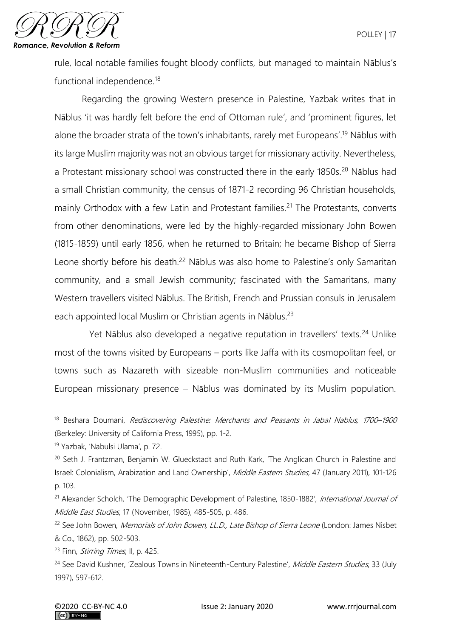

rule, local notable families fought bloody conflicts, but managed to maintain Nāblus's functional independence.<sup>18</sup>

Regarding the growing Western presence in Palestine, Yazbak writes that in Nāblus 'it was hardly felt before the end of Ottoman rule', and 'prominent figures, let alone the broader strata of the town's inhabitants, rarely met Europeans'. <sup>19</sup> Nāblus with its large Muslim majority was not an obvious target for missionary activity. Nevertheless, a Protestant missionary school was constructed there in the early 1850s.<sup>20</sup> Nāblus had a small Christian community, the census of 1871-2 recording 96 Christian households, mainly Orthodox with a few Latin and Protestant families.<sup>21</sup> The Protestants, converts from other denominations, were led by the highly-regarded missionary John Bowen (1815-1859) until early 1856, when he returned to Britain; he became Bishop of Sierra Leone shortly before his death.<sup>22</sup> Nāblus was also home to Palestine's only Samaritan community, and a small Jewish community; fascinated with the Samaritans, many Western travellers visited Nāblus. The British, French and Prussian consuls in Jerusalem each appointed local Muslim or Christian agents in Nāblus.<sup>23</sup>

Yet Nāblus also developed a negative reputation in travellers' texts.<sup>24</sup> Unlike most of the towns visited by Europeans – ports like Jaffa with its cosmopolitan feel, or towns such as Nazareth with sizeable non-Muslim communities and noticeable European missionary presence – Nāblus was dominated by its Muslim population.

<sup>&</sup>lt;sup>18</sup> Beshara Doumani, Rediscovering Palestine: Merchants and Peasants in Jabal Nablus, 1700–1900 (Berkeley: University of California Press, 1995), pp. 1-2.

<sup>19</sup> Yazbak, 'Nabulsi Ulama', p. 72.

<sup>&</sup>lt;sup>20</sup> Seth J. Frantzman, Benjamin W. Glueckstadt and Ruth Kark, 'The Anglican Church in Palestine and Israel: Colonialism, Arabization and Land Ownership', Middle Eastern Studies, 47 (January 2011), 101-126 p. 103.

<sup>&</sup>lt;sup>21</sup> Alexander Scholch, 'The Demographic Development of Palestine, 1850-1882', International Journal of Middle East Studies, 17 (November, 1985), 485-505, p. 486.

<sup>&</sup>lt;sup>22</sup> See John Bowen, Memorials of John Bowen, LL.D., Late Bishop of Sierra Leone (London: James Nisbet & Co., 1862), pp. 502-503.

<sup>&</sup>lt;sup>23</sup> Finn, *Stirring Times*, II, p. 425.

<sup>&</sup>lt;sup>24</sup> See David Kushner, 'Zealous Towns in Nineteenth-Century Palestine', Middle Eastern Studies, 33 (July 1997), 597-612.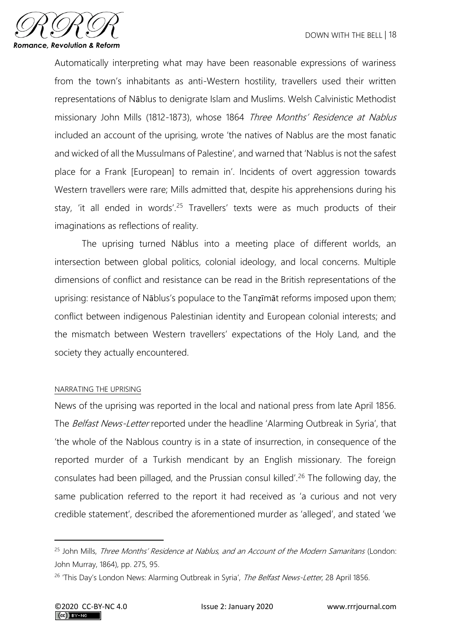

Automatically interpreting what may have been reasonable expressions of wariness from the town's inhabitants as anti-Western hostility, travellers used their written representations of Nāblus to denigrate Islam and Muslims. Welsh Calvinistic Methodist missionary John Mills (1812-1873), whose 1864 Three Months' Residence at Nablus included an account of the uprising, wrote 'the natives of Nablus are the most fanatic and wicked of all the Mussulmans of Palestine', and warned that 'Nablus is not the safest place for a Frank [European] to remain in'. Incidents of overt aggression towards Western travellers were rare; Mills admitted that, despite his apprehensions during his stay, 'it all ended in words'.<sup>25</sup> Travellers' texts were as much products of their imaginations as reflections of reality.

The uprising turned Nāblus into a meeting place of different worlds, an intersection between global politics, colonial ideology, and local concerns. Multiple dimensions of conflict and resistance can be read in the British representations of the uprising: resistance of Nāblus's populace to the Tanẓīmāt reforms imposed upon them; conflict between indigenous Palestinian identity and European colonial interests; and the mismatch between Western travellers' expectations of the Holy Land, and the society they actually encountered.

#### NARRATING THE UPRISING

News of the uprising was reported in the local and national press from late April 1856. The Belfast News-Letter reported under the headline 'Alarming Outbreak in Syria', that 'the whole of the Nablous country is in a state of insurrection, in consequence of the reported murder of a Turkish mendicant by an English missionary. The foreign consulates had been pillaged, and the Prussian consul killed'.<sup>26</sup> The following day, the same publication referred to the report it had received as 'a curious and not very credible statement', described the aforementioned murder as 'alleged', and stated 'we

<sup>&</sup>lt;sup>25</sup> John Mills, Three Months' Residence at Nablus, and an Account of the Modern Samaritans (London: John Murray, 1864), pp. 275, 95.

<sup>&</sup>lt;sup>26</sup> 'This Day's London News: Alarming Outbreak in Syria', The Belfast News-Letter, 28 April 1856.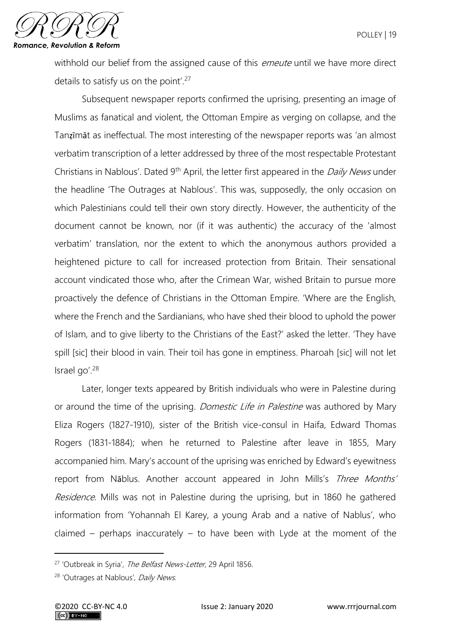

withhold our belief from the assigned cause of this *emeute* until we have more direct details to satisfy us on the point'.<sup>27</sup>

Subsequent newspaper reports confirmed the uprising, presenting an image of Muslims as fanatical and violent, the Ottoman Empire as verging on collapse, and the Tanẓīmāt as ineffectual. The most interesting of the newspaper reports was 'an almost verbatim transcription of a letter addressed by three of the most respectable Protestant Christians in Nablous'. Dated 9<sup>th</sup> April, the letter first appeared in the *Daily News* under the headline 'The Outrages at Nablous'. This was, supposedly, the only occasion on which Palestinians could tell their own story directly. However, the authenticity of the document cannot be known, nor (if it was authentic) the accuracy of the 'almost verbatim' translation, nor the extent to which the anonymous authors provided a heightened picture to call for increased protection from Britain. Their sensational account vindicated those who, after the Crimean War, wished Britain to pursue more proactively the defence of Christians in the Ottoman Empire. 'Where are the English, where the French and the Sardianians, who have shed their blood to uphold the power of Islam, and to give liberty to the Christians of the East?' asked the letter. 'They have spill [sic] their blood in vain. Their toil has gone in emptiness. Pharoah [sic] will not let Israel go'.<sup>28</sup>

Later, longer texts appeared by British individuals who were in Palestine during or around the time of the uprising. *Domestic Life in Palestine* was authored by Mary Eliza Rogers (1827-1910), sister of the British vice-consul in Haifa, Edward Thomas Rogers (1831-1884); when he returned to Palestine after leave in 1855, Mary accompanied him. Mary's account of the uprising was enriched by Edward's eyewitness report from Nāblus. Another account appeared in John Mills's Three Months' Residence. Mills was not in Palestine during the uprising, but in 1860 he gathered information from 'Yohannah El Karey, a young Arab and a native of Nablus', who claimed – perhaps inaccurately – to have been with Lyde at the moment of the

<sup>&</sup>lt;sup>27</sup> 'Outbreak in Syria', The Belfast News-Letter, 29 April 1856.

<sup>&</sup>lt;sup>28</sup> 'Outrages at Nablous', Daily News.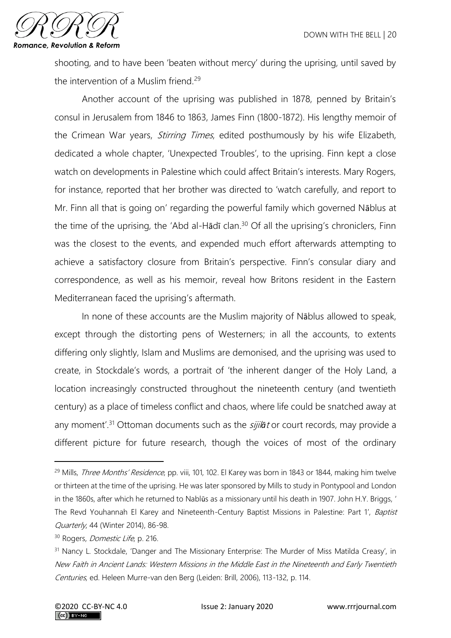

shooting, and to have been 'beaten without mercy' during the uprising, until saved by the intervention of a Muslim friend.<sup>29</sup>

Another account of the uprising was published in 1878, penned by Britain's consul in Jerusalem from 1846 to 1863, James Finn (1800-1872). His lengthy memoir of the Crimean War years, *Stirring Times*, edited posthumously by his wife Elizabeth, dedicated a whole chapter, 'Unexpected Troubles', to the uprising. Finn kept a close watch on developments in Palestine which could affect Britain's interests. Mary Rogers, for instance, reported that her brother was directed to 'watch carefully, and report to Mr. Finn all that is going on' regarding the powerful family which governed Nāblus at the time of the uprising, the 'Abd al-Hādī clan.<sup>30</sup> Of all the uprising's chroniclers, Finn was the closest to the events, and expended much effort afterwards attempting to achieve a satisfactory closure from Britain's perspective. Finn's consular diary and correspondence, as well as his memoir, reveal how Britons resident in the Eastern Mediterranean faced the uprising's aftermath.

In none of these accounts are the Muslim majority of Nāblus allowed to speak, except through the distorting pens of Westerners; in all the accounts, to extents differing only slightly, Islam and Muslims are demonised, and the uprising was used to create, in Stockdale's words, a portrait of 'the inherent danger of the Holy Land, a location increasingly constructed throughout the nineteenth century (and twentieth century) as a place of timeless conflict and chaos, where life could be snatched away at any moment<sup>'</sup>.<sup>31</sup> Ottoman documents such as the *sijilat* or court records, may provide a different picture for future research, though the voices of most of the ordinary

<sup>&</sup>lt;sup>29</sup> Mills, *Three Months' Residence*, pp. viii, 101, 102. El Karey was born in 1843 or 1844, making him twelve or thirteen at the time of the uprising. He was later sponsored by Mills to study in Pontypool and London in the 1860s, after which he returned to Nablūs as a missionary until his death in 1907. John H.Y. Briggs, ' The Revd Youhannah El Karey and Nineteenth-Century Baptist Missions in Palestine: Part 1', Baptist Quarterly, 44 (Winter 2014), 86-98.

<sup>&</sup>lt;sup>30</sup> Rogers, *Domestic Life*, p. 216.

<sup>&</sup>lt;sup>31</sup> Nancy L. Stockdale, 'Danger and The Missionary Enterprise: The Murder of Miss Matilda Creasy', in New Faith in Ancient Lands: Western Missions in the Middle East in the Nineteenth and Early Twentieth Centuries, ed. Heleen Murre-van den Berg (Leiden: Brill, 2006), 113-132, p. 114.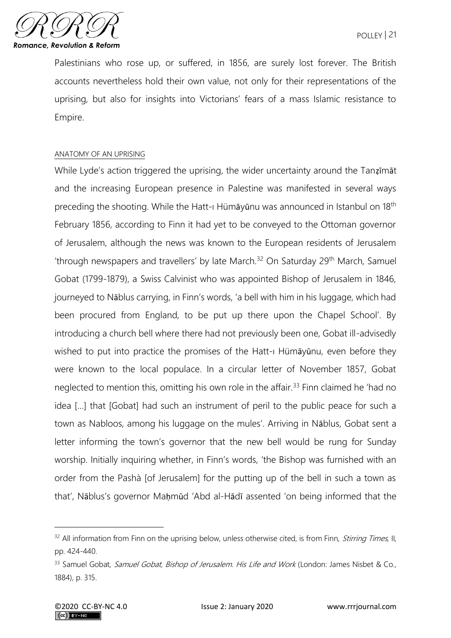Palestinians who rose up, or suffered, in 1856, are surely lost forever. The British accounts nevertheless hold their own value, not only for their representations of the uprising, but also for insights into Victorians' fears of a mass Islamic resistance to Empire.

#### ANATOMY OF AN UPRISING

While Lyde's action triggered the uprising, the wider uncertainty around the Tanzimat and the increasing European presence in Palestine was manifested in several ways preceding the shooting. While the Hatt-ı Hümāyūnu was announced in Istanbul on 18th February 1856, according to Finn it had yet to be conveyed to the Ottoman governor of Jerusalem, although the news was known to the European residents of Jerusalem 'through newspapers and travellers' by late March.<sup>32</sup> On Saturday 29<sup>th</sup> March, Samuel Gobat (1799-1879), a Swiss Calvinist who was appointed Bishop of Jerusalem in 1846, journeyed to Nāblus carrying, in Finn's words, 'a bell with him in his luggage, which had been procured from England, to be put up there upon the Chapel School'. By introducing a church bell where there had not previously been one, Gobat ill-advisedly wished to put into practice the promises of the Hatt-ı Hümāyūnu, even before they were known to the local populace. In a circular letter of November 1857, Gobat neglected to mention this, omitting his own role in the affair.<sup>33</sup> Finn claimed he 'had no idea […] that [Gobat] had such an instrument of peril to the public peace for such a town as Nabloos, among his luggage on the mules'. Arriving in Nāblus, Gobat sent a letter informing the town's governor that the new bell would be rung for Sunday worship. Initially inquiring whether, in Finn's words, 'the Bishop was furnished with an order from the Pashà [of Jerusalem] for the putting up of the bell in such a town as that', Nāblus's governor Maḥmūd 'Abd al-Hādī assented 'on being informed that the

<sup>&</sup>lt;sup>32</sup> All information from Finn on the uprising below, unless otherwise cited, is from Finn, *Stirring Times*, II, pp. 424-440.

<sup>33</sup> Samuel Gobat, Samuel Gobat, Bishop of Jerusalem. His Life and Work (London: James Nisbet & Co., 1884), p. 315.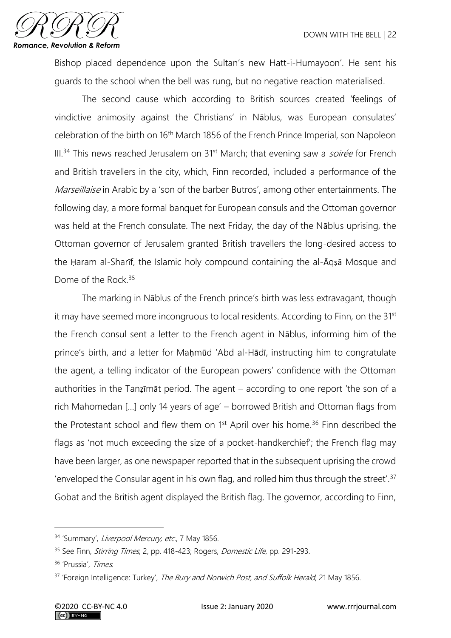

Bishop placed dependence upon the Sultan's new Hatt-i-Humayoon'. He sent his guards to the school when the bell was rung, but no negative reaction materialised.

The second cause which according to British sources created 'feelings of vindictive animosity against the Christians' in Nāblus, was European consulates' celebration of the birth on 16th March 1856 of the French Prince Imperial, son Napoleon  $III.<sup>34</sup>$  This news reached Jerusalem on  $31<sup>st</sup>$  March; that evening saw a *soirée* for French and British travellers in the city, which, Finn recorded, included a performance of the Marseillaise in Arabic by a 'son of the barber Butros', among other entertainments. The following day, a more formal banquet for European consuls and the Ottoman governor was held at the French consulate. The next Friday, the day of the Nāblus uprising, the Ottoman governor of Jerusalem granted British travellers the long-desired access to the Ḥaram al-Sharīf, the Islamic holy compound containing the al-Āqṣā Mosque and Dome of the Rock.<sup>35</sup>

The marking in Nāblus of the French prince's birth was less extravagant, though it may have seemed more incongruous to local residents. According to Finn, on the 31<sup>st</sup> the French consul sent a letter to the French agent in Nāblus, informing him of the prince's birth, and a letter for Mahmūd 'Abd al-Hādī, instructing him to congratulate the agent, a telling indicator of the European powers' confidence with the Ottoman authorities in the Tanẓīmāt period. The agent – according to one report 'the son of a rich Mahomedan […] only 14 years of age' – borrowed British and Ottoman flags from the Protestant school and flew them on 1<sup>st</sup> April over his home.<sup>36</sup> Finn described the flags as 'not much exceeding the size of a pocket-handkerchief'; the French flag may have been larger, as one newspaper reported that in the subsequent uprising the crowd 'enveloped the Consular agent in his own flag, and rolled him thus through the street'.<sup>37</sup> Gobat and the British agent displayed the British flag. The governor, according to Finn,

<sup>&</sup>lt;sup>34</sup> 'Summary', *Liverpool Mercury, etc.*, 7 May 1856.

<sup>&</sup>lt;sup>35</sup> See Finn, *Stirring Times*, 2, pp. 418-423; Rogers, *Domestic Life*, pp. 291-293.

<sup>36</sup> 'Prussia', Times.

<sup>&</sup>lt;sup>37</sup> 'Foreign Intelligence: Turkey', The Bury and Norwich Post, and Suffolk Herald, 21 May 1856.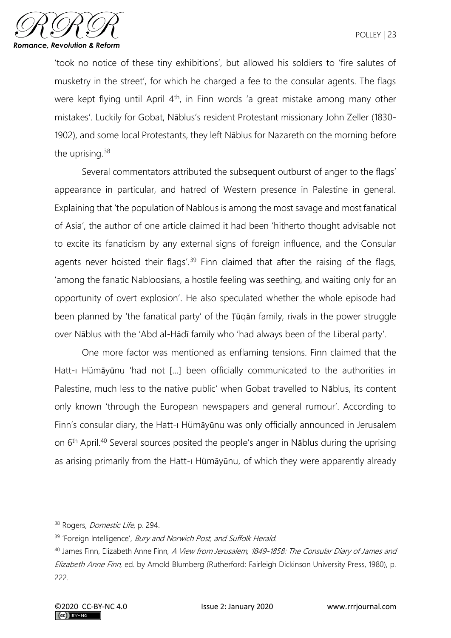

'took no notice of these tiny exhibitions', but allowed his soldiers to 'fire salutes of musketry in the street', for which he charged a fee to the consular agents. The flags were kept flying until April 4<sup>th</sup>, in Finn words 'a great mistake among many other mistakes'. Luckily for Gobat, Nāblus's resident Protestant missionary John Zeller (1830- 1902), and some local Protestants, they left Nāblus for Nazareth on the morning before the uprising.<sup>38</sup>

Several commentators attributed the subsequent outburst of anger to the flags' appearance in particular, and hatred of Western presence in Palestine in general. Explaining that 'the population of Nablous is among the most savage and most fanatical of Asia', the author of one article claimed it had been 'hitherto thought advisable not to excite its fanaticism by any external signs of foreign influence, and the Consular agents never hoisted their flags'.<sup>39</sup> Finn claimed that after the raising of the flags, 'among the fanatic Nabloosians, a hostile feeling was seething, and waiting only for an opportunity of overt explosion'. He also speculated whether the whole episode had been planned by 'the fanatical party' of the **Tugan** family, rivals in the power struggle over Nāblus with the 'Abd al-Hādī family who 'had always been of the Liberal party'.

One more factor was mentioned as enflaming tensions. Finn claimed that the Hatt-ı Hümāyūnu 'had not […] been officially communicated to the authorities in Palestine, much less to the native public' when Gobat travelled to Nāblus, its content only known 'through the European newspapers and general rumour'. According to Finn's consular diary, the Hatt-ı Hümāyūnu was only officially announced in Jerusalem on 6th April.<sup>40</sup> Several sources posited the people's anger in Nāblus during the uprising as arising primarily from the Hatt-ı Hümāyūnu, of which they were apparently already

<sup>&</sup>lt;sup>38</sup> Rogers, *Domestic Life*, p. 294.

<sup>&</sup>lt;sup>39</sup> 'Foreign Intelligence', *Bury and Norwich Post, and Suffolk Herald.* 

<sup>&</sup>lt;sup>40</sup> James Finn, Elizabeth Anne Finn, A View from Jerusalem, 1849-1858: The Consular Diary of James and Elizabeth Anne Finn, ed. by Arnold Blumberg (Rutherford: Fairleigh Dickinson University Press, 1980), p. 222.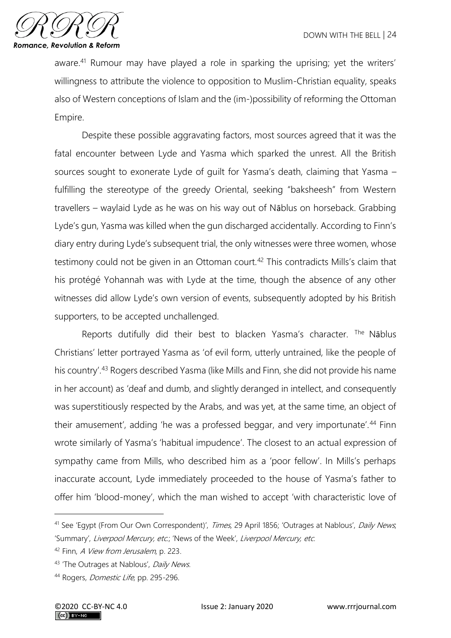

aware.<sup>41</sup> Rumour may have played a role in sparking the uprising; yet the writers' willingness to attribute the violence to opposition to Muslim-Christian equality, speaks also of Western conceptions of Islam and the (im-)possibility of reforming the Ottoman Empire.

Despite these possible aggravating factors, most sources agreed that it was the fatal encounter between Lyde and Yasma which sparked the unrest. All the British sources sought to exonerate Lyde of guilt for Yasma's death, claiming that Yasma – fulfilling the stereotype of the greedy Oriental, seeking "baksheesh" from Western travellers – waylaid Lyde as he was on his way out of Nāblus on horseback. Grabbing Lyde's gun, Yasma was killed when the gun discharged accidentally. According to Finn's diary entry during Lyde's subsequent trial, the only witnesses were three women, whose testimony could not be given in an Ottoman court.<sup>42</sup> This contradicts Mills's claim that his protégé Yohannah was with Lyde at the time, though the absence of any other witnesses did allow Lyde's own version of events, subsequently adopted by his British supporters, to be accepted unchallenged.

Reports dutifully did their best to blacken Yasma's character. The Nāblus Christians' letter portrayed Yasma as 'of evil form, utterly untrained, like the people of his country'.<sup>43</sup> Rogers described Yasma (like Mills and Finn, she did not provide his name in her account) as 'deaf and dumb, and slightly deranged in intellect, and consequently was superstitiously respected by the Arabs, and was yet, at the same time, an object of their amusement', adding 'he was a professed beggar, and very importunate'.<sup>44</sup> Finn wrote similarly of Yasma's 'habitual impudence'. The closest to an actual expression of sympathy came from Mills, who described him as a 'poor fellow'. In Mills's perhaps inaccurate account, Lyde immediately proceeded to the house of Yasma's father to offer him 'blood-money', which the man wished to accept 'with characteristic love of

<sup>&</sup>lt;sup>41</sup> See 'Egypt (From Our Own Correspondent)', Times, 29 April 1856; 'Outrages at Nablous', Daily News, 'Summary', Liverpool Mercury, etc.; 'News of the Week', Liverpool Mercury, etc.

<sup>42</sup> Finn, A View from Jerusalem, p. 223.

<sup>&</sup>lt;sup>43</sup> 'The Outrages at Nablous', *Daily News*.

<sup>&</sup>lt;sup>44</sup> Rogers, *Domestic Life*, pp. 295-296.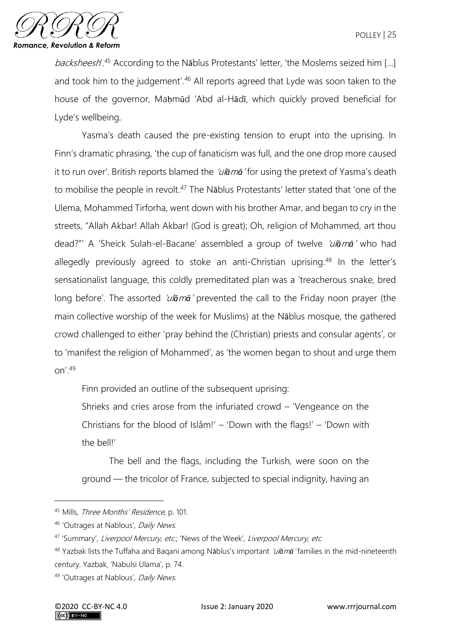

backsheesh'.<sup>45</sup> According to the Nāblus Protestants' letter, 'the Moslems seized him [...] and took him to the judgement'.<sup>46</sup> All reports agreed that Lyde was soon taken to the house of the governor, Maḥmūd 'Abd al-Hādī, which quickly proved beneficial for Lyde's wellbeing.

Yasma's death caused the pre-existing tension to erupt into the uprising. In Finn's dramatic phrasing, 'the cup of fanaticism was full, and the one drop more caused it to run over'. British reports blamed the 'ul*ā*m*ā*' for using the pretext of Yasma's death to mobilise the people in revolt.<sup>47</sup> The Nablus Protestants' letter stated that 'one of the Ulema, Mohammed Tirforha, went down with his brother Amar, and began to cry in the streets, "Allah Akbar! Allah Akbar! (God is great); Oh, religion of Mohammed, art thou dead?"' A 'Sheick Sulah-el-Bacane' assembled a group of twelve 'ul*ā*m*ā*' who had allegedly previously agreed to stoke an anti-Christian uprising.<sup>48</sup> In the letter's sensationalist language, this coldly premeditated plan was a 'treacherous snake, bred long before'. The assorted '*ulāmā'* prevented the call to the Friday noon prayer (the main collective worship of the week for Muslims) at the Nāblus mosque, the gathered crowd challenged to either 'pray behind the (Christian) priests and consular agents', or to 'manifest the religion of Mohammed', as 'the women began to shout and urge them  $nn'$ <sup>49</sup>

Finn provided an outline of the subsequent uprising:

Shrieks and cries arose from the infuriated crowd – 'Vengeance on the Christians for the blood of Islâm!' – 'Down with the flags!' – 'Down with the bell!'

The bell and the flags, including the Turkish, were soon on the ground — the tricolor of France, subjected to special indignity, having an

<sup>45</sup> Mills, Three Months' Residence, p. 101.

<sup>46 &#</sup>x27;Outrages at Nablous', Daily News.

<sup>47 &#</sup>x27;Summary', Liverpool Mercury, etc.; 'News of the Week', Liverpool Mercury, etc.

<sup>48</sup> Yazbak lists the Tuffaha and Baqani among Nāblus's important 'ul*ā*m*ā*' families in the mid-nineteenth century. Yazbak, 'Nabulsi Ulama', p. 74.

<sup>49 &#</sup>x27;Outrages at Nablous', Daily News.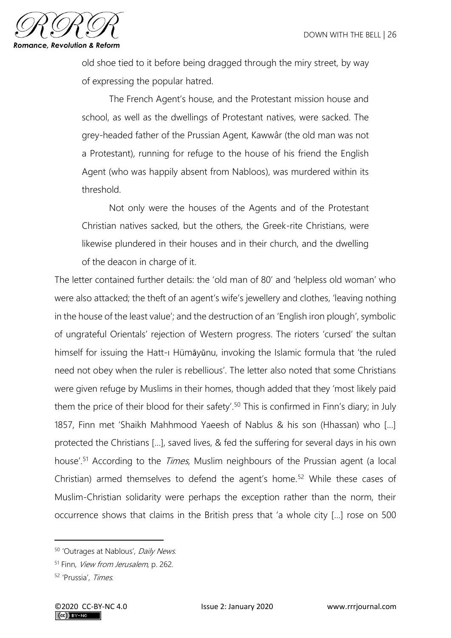

old shoe tied to it before being dragged through the miry street, by way of expressing the popular hatred.

The French Agent's house, and the Protestant mission house and school, as well as the dwellings of Protestant natives, were sacked. The grey-headed father of the Prussian Agent, Kawwâr (the old man was not a Protestant), running for refuge to the house of his friend the English Agent (who was happily absent from Nabloos), was murdered within its threshold.

Not only were the houses of the Agents and of the Protestant Christian natives sacked, but the others, the Greek-rite Christians, were likewise plundered in their houses and in their church, and the dwelling of the deacon in charge of it.

The letter contained further details: the 'old man of 80' and 'helpless old woman' who were also attacked; the theft of an agent's wife's jewellery and clothes, 'leaving nothing in the house of the least value'; and the destruction of an 'English iron plough', symbolic of ungrateful Orientals' rejection of Western progress. The rioters 'cursed' the sultan himself for issuing the Hatt-ı Hümāyūnu, invoking the Islamic formula that 'the ruled need not obey when the ruler is rebellious'. The letter also noted that some Christians were given refuge by Muslims in their homes, though added that they 'most likely paid them the price of their blood for their safety'.<sup>50</sup> This is confirmed in Finn's diary; in July 1857, Finn met 'Shaikh Mahhmood Yaeesh of Nablus & his son (Hhassan) who […] protected the Christians […], saved lives, & fed the suffering for several days in his own house'.<sup>51</sup> According to the *Times*, Muslim neighbours of the Prussian agent (a local Christian) armed themselves to defend the agent's home.<sup>52</sup> While these cases of Muslim-Christian solidarity were perhaps the exception rather than the norm, their occurrence shows that claims in the British press that 'a whole city […] rose on 500

<sup>&</sup>lt;sup>50</sup> 'Outrages at Nablous', Daily News.

<sup>&</sup>lt;sup>51</sup> Finn, *View from Jerusalem*, p. 262.

<sup>52</sup> 'Prussia', Times.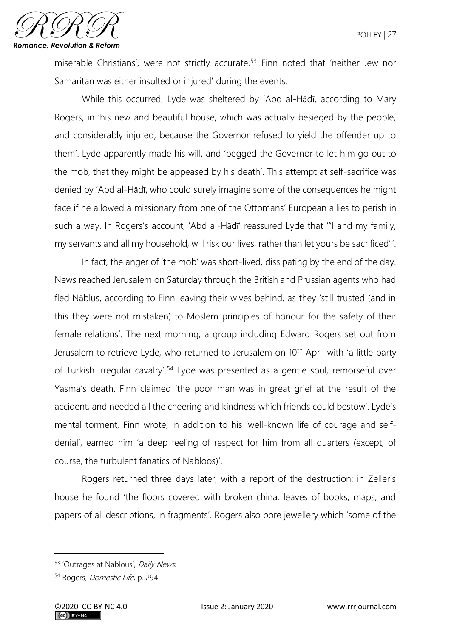

miserable Christians', were not strictly accurate.<sup>53</sup> Finn noted that 'neither Jew nor Samaritan was either insulted or injured' during the events.

While this occurred, Lyde was sheltered by 'Abd al-Hādī, according to Mary Rogers, in 'his new and beautiful house, which was actually besieged by the people, and considerably injured, because the Governor refused to yield the offender up to them'. Lyde apparently made his will, and 'begged the Governor to let him go out to the mob, that they might be appeased by his death'. This attempt at self-sacrifice was denied by 'Abd al-Hādī, who could surely imagine some of the consequences he might face if he allowed a missionary from one of the Ottomans' European allies to perish in such a way. In Rogers's account, 'Abd al-Hādī' reassured Lyde that '"I and my family, my servants and all my household, will risk our lives, rather than let yours be sacrificed"'.

In fact, the anger of 'the mob' was short-lived, dissipating by the end of the day. News reached Jerusalem on Saturday through the British and Prussian agents who had fled Nāblus, according to Finn leaving their wives behind, as they 'still trusted (and in this they were not mistaken) to Moslem principles of honour for the safety of their female relations'. The next morning, a group including Edward Rogers set out from Jerusalem to retrieve Lyde, who returned to Jerusalem on 10<sup>th</sup> April with 'a little party of Turkish irregular cavalry'.<sup>54</sup> Lyde was presented as a gentle soul, remorseful over Yasma's death. Finn claimed 'the poor man was in great grief at the result of the accident, and needed all the cheering and kindness which friends could bestow'. Lyde's mental torment, Finn wrote, in addition to his 'well-known life of courage and selfdenial', earned him 'a deep feeling of respect for him from all quarters (except, of course, the turbulent fanatics of Nabloos)'.

Rogers returned three days later, with a report of the destruction: in Zeller's house he found 'the floors covered with broken china, leaves of books, maps, and papers of all descriptions, in fragments'. Rogers also bore jewellery which 'some of the

<sup>53 &#</sup>x27;Outrages at Nablous', Daily News.

<sup>54</sup> Rogers, Domestic Life, p. 294.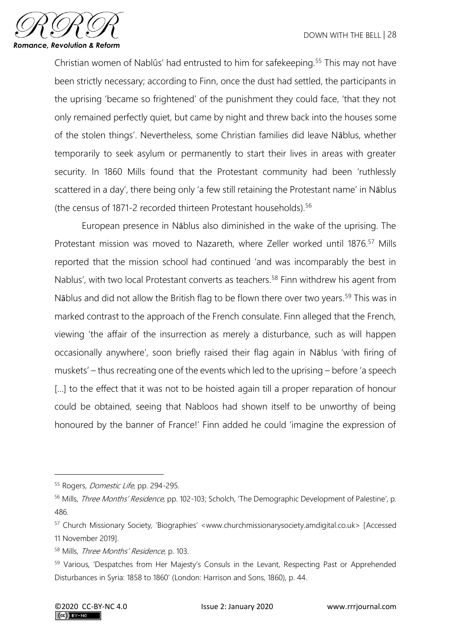

Christian women of Nablûs' had entrusted to him for safekeeping.<sup>55</sup> This may not have been strictly necessary; according to Finn, once the dust had settled, the participants in the uprising 'became so frightened' of the punishment they could face, 'that they not only remained perfectly quiet, but came by night and threw back into the houses some of the stolen things'. Nevertheless, some Christian families did leave Nāblus, whether temporarily to seek asylum or permanently to start their lives in areas with greater security. In 1860 Mills found that the Protestant community had been 'ruthlessly scattered in a day', there being only 'a few still retaining the Protestant name' in Nāblus (the census of 1871-2 recorded thirteen Protestant households).<sup>56</sup>

European presence in Nāblus also diminished in the wake of the uprising. The Protestant mission was moved to Nazareth, where Zeller worked until 1876.<sup>57</sup> Mills reported that the mission school had continued 'and was incomparably the best in Nablus', with two local Protestant converts as teachers.<sup>58</sup> Finn withdrew his agent from Nāblus and did not allow the British flag to be flown there over two years.<sup>59</sup> This was in marked contrast to the approach of the French consulate. Finn alleged that the French, viewing 'the affair of the insurrection as merely a disturbance, such as will happen occasionally anywhere', soon briefly raised their flag again in Nāblus 'with firing of muskets' – thus recreating one of the events which led to the uprising – before 'a speech [...] to the effect that it was not to be hoisted again till a proper reparation of honour could be obtained, seeing that Nabloos had shown itself to be unworthy of being honoured by the banner of France!' Finn added he could 'imagine the expression of

<sup>55</sup> Rogers, *Domestic Life*, pp. 294-295.

<sup>&</sup>lt;sup>56</sup> Mills, *Three Months' Residence*, pp. 102-103; Scholch, 'The Demographic Development of Palestine', p. 486.

<sup>57</sup> Church Missionary Society, 'Biographies' <www.churchmissionarysociety.amdigital.co.uk> [Accessed 11 November 2019].

<sup>58</sup> Mills, Three Months' Residence, p. 103.

<sup>&</sup>lt;sup>59</sup> Various, 'Despatches from Her Majesty's Consuls in the Levant, Respecting Past or Apprehended Disturbances in Syria: 1858 to 1860' (London: Harrison and Sons, 1860), p. 44.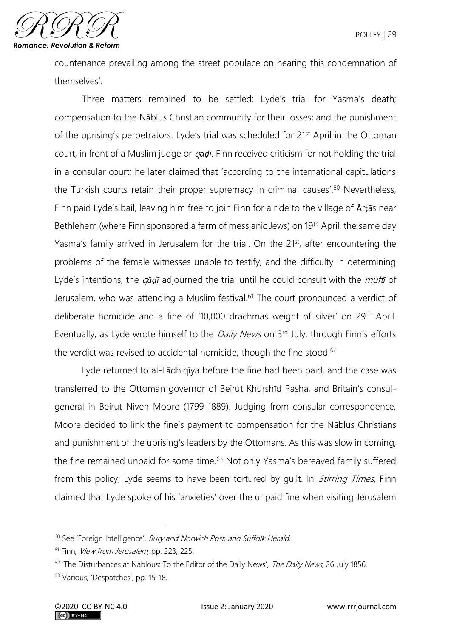countenance prevailing among the street populace on hearing this condemnation of themselves'.

Three matters remained to be settled: Lyde's trial for Yasma's death; compensation to the Nāblus Christian community for their losses; and the punishment of the uprising's perpetrators. Lyde's trial was scheduled for 21<sup>st</sup> April in the Ottoman court, in front of a Muslim judge or q*āḍī*. Finn received criticism for not holding the trial in a consular court; he later claimed that 'according to the international capitulations the Turkish courts retain their proper supremacy in criminal causes'.<sup>60</sup> Nevertheless, Finn paid Lyde's bail, leaving him free to join Finn for a ride to the village of Ārṭās near Bethlehem (where Finn sponsored a farm of messianic Jews) on 19<sup>th</sup> April, the same day Yasma's family arrived in Jerusalem for the trial. On the 21<sup>st</sup>, after encountering the problems of the female witnesses unable to testify, and the difficulty in determining Lyde's intentions, the q*āḍī* adjourned the trial until he could consult with the muft*ī* of Jerusalem, who was attending a Muslim festival.<sup>61</sup> The court pronounced a verdict of deliberate homicide and a fine of '10,000 drachmas weight of silver' on 29th April. Eventually, as Lyde wrote himself to the *Daily News* on 3<sup>rd</sup> July, through Finn's efforts the verdict was revised to accidental homicide, though the fine stood.<sup>62</sup>

Lyde returned to al-Lādhiqīya before the fine had been paid, and the case was transferred to the Ottoman governor of Beirut Khurshīd Pasha, and Britain's consulgeneral in Beirut Niven Moore (1799-1889). Judging from consular correspondence, Moore decided to link the fine's payment to compensation for the Nāblus Christians and punishment of the uprising's leaders by the Ottomans. As this was slow in coming, the fine remained unpaid for some time.<sup>63</sup> Not only Yasma's bereaved family suffered from this policy; Lyde seems to have been tortured by quilt. In *Stirring Times*, Finn claimed that Lyde spoke of his 'anxieties' over the unpaid fine when visiting Jerusalem

<sup>&</sup>lt;sup>60</sup> See 'Foreign Intelligence', *Bury and Norwich Post, and Suffolk Herald*.

<sup>&</sup>lt;sup>61</sup> Finn, *View from Jerusalem*, pp. 223, 225.

<sup>&</sup>lt;sup>62</sup> 'The Disturbances at Nablous: To the Editor of the Daily News', The Daily News, 26 July 1856.

<sup>63</sup> Various, 'Despatches', pp. 15-18.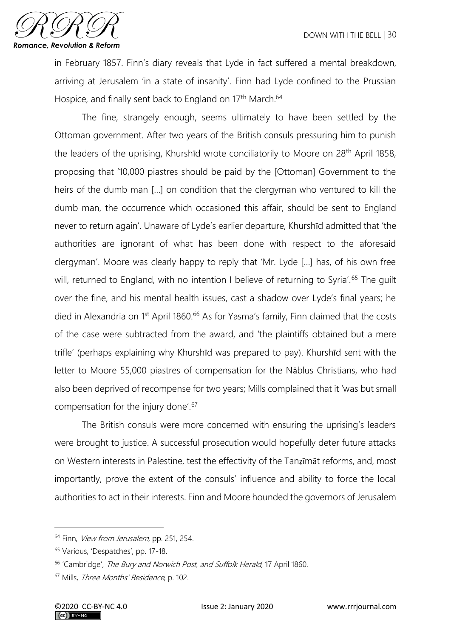

in February 1857. Finn's diary reveals that Lyde in fact suffered a mental breakdown, arriving at Jerusalem 'in a state of insanity'. Finn had Lyde confined to the Prussian Hospice, and finally sent back to England on 17<sup>th</sup> March.<sup>64</sup>

The fine, strangely enough, seems ultimately to have been settled by the Ottoman government. After two years of the British consuls pressuring him to punish the leaders of the uprising, Khurshīd wrote conciliatorily to Moore on 28<sup>th</sup> April 1858, proposing that '10,000 piastres should be paid by the [Ottoman] Government to the heirs of the dumb man […] on condition that the clergyman who ventured to kill the dumb man, the occurrence which occasioned this affair, should be sent to England never to return again'. Unaware of Lyde's earlier departure, Khurshīd admitted that 'the authorities are ignorant of what has been done with respect to the aforesaid clergyman'. Moore was clearly happy to reply that 'Mr. Lyde […] has, of his own free will, returned to England, with no intention I believe of returning to Syria'.<sup>65</sup> The guilt over the fine, and his mental health issues, cast a shadow over Lyde's final years; he died in Alexandria on 1<sup>st</sup> April 1860.<sup>66</sup> As for Yasma's family, Finn claimed that the costs of the case were subtracted from the award, and 'the plaintiffs obtained but a mere trifle' (perhaps explaining why Khurshīd was prepared to pay). Khurshīd sent with the letter to Moore 55,000 piastres of compensation for the Nāblus Christians, who had also been deprived of recompense for two years; Mills complained that it 'was but small compensation for the injury done'.<sup>67</sup>

The British consuls were more concerned with ensuring the uprising's leaders were brought to justice. A successful prosecution would hopefully deter future attacks on Western interests in Palestine, test the effectivity of the Tanẓīmāt reforms, and, most importantly, prove the extent of the consuls' influence and ability to force the local authorities to act in their interests. Finn and Moore hounded the governors of Jerusalem

<sup>&</sup>lt;sup>64</sup> Finn, *View from Jerusalem*, pp. 251, 254.

<sup>65</sup> Various, 'Despatches', pp. 17-18.

<sup>&</sup>lt;sup>66</sup> 'Cambridge', *The Bury and Norwich Post, and Suffolk Herald*, 17 April 1860.

<sup>&</sup>lt;sup>67</sup> Mills, Three Months' Residence, p. 102.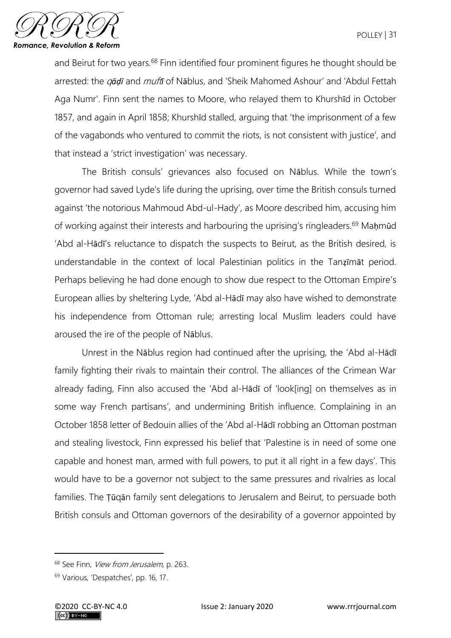

and Beirut for two years.<sup>68</sup> Finn identified four prominent figures he thought should be arrested: the q*āḍī* and muft*ī* of Nāblus, and 'Sheik Mahomed Ashour' and 'Abdul Fettah Aga Numr'. Finn sent the names to Moore, who relayed them to Khurshīd in October 1857, and again in April 1858; Khurshīd stalled, arguing that 'the imprisonment of a few of the vagabonds who ventured to commit the riots, is not consistent with justice', and that instead a 'strict investigation' was necessary.

The British consuls' grievances also focused on Nāblus. While the town's governor had saved Lyde's life during the uprising, over time the British consuls turned against 'the notorious Mahmoud Abd-ul-Hady', as Moore described him, accusing him of working against their interests and harbouring the uprising's ringleaders.<sup>69</sup> Mahmūd 'Abd al-Hādī's reluctance to dispatch the suspects to Beirut, as the British desired, is understandable in the context of local Palestinian politics in the Tanẓīmāt period. Perhaps believing he had done enough to show due respect to the Ottoman Empire's European allies by sheltering Lyde, 'Abd al-Hādī may also have wished to demonstrate his independence from Ottoman rule; arresting local Muslim leaders could have aroused the ire of the people of Nāblus.

Unrest in the Nāblus region had continued after the uprising, the 'Abd al-Hādī family fighting their rivals to maintain their control. The alliances of the Crimean War already fading, Finn also accused the 'Abd al-Hādī of 'look[ing] on themselves as in some way French partisans', and undermining British influence. Complaining in an October 1858 letter of Bedouin allies of the 'Abd al-Hādī robbing an Ottoman postman and stealing livestock, Finn expressed his belief that 'Palestine is in need of some one capable and honest man, armed with full powers, to put it all right in a few days'. This would have to be a governor not subject to the same pressures and rivalries as local families. The Ṭūqān family sent delegations to Jerusalem and Beirut, to persuade both British consuls and Ottoman governors of the desirability of a governor appointed by

<sup>&</sup>lt;sup>68</sup> See Finn, *View from Jerusalem*, p. 263.

<sup>69</sup> Various, 'Despatches', pp. 16, 17.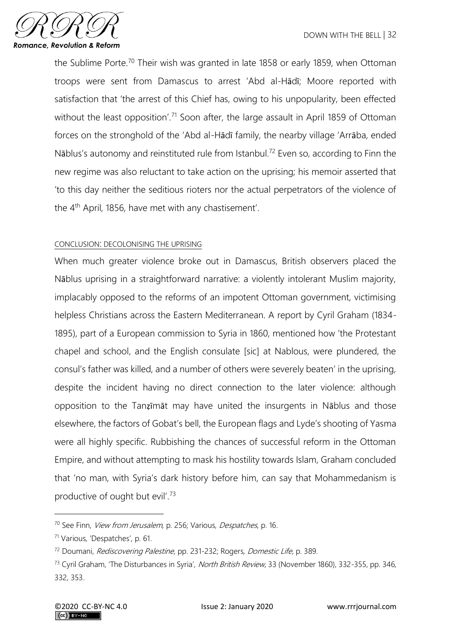

the Sublime Porte.<sup>70</sup> Their wish was granted in late 1858 or early 1859, when Ottoman troops were sent from Damascus to arrest 'Abd al-Hādī; Moore reported with satisfaction that 'the arrest of this Chief has, owing to his unpopularity, been effected without the least opposition'.<sup>71</sup> Soon after, the large assault in April 1859 of Ottoman forces on the stronghold of the 'Abd al-Hādī family, the nearby village 'Arrāba, ended Nāblus's autonomy and reinstituted rule from Istanbul.<sup>72</sup> Even so, according to Finn the new regime was also reluctant to take action on the uprising; his memoir asserted that 'to this day neither the seditious rioters nor the actual perpetrators of the violence of the 4th April, 1856, have met with any chastisement'.

### CONCLUSION: DECOLONISING THE UPRISING

When much greater violence broke out in Damascus, British observers placed the Nāblus uprising in a straightforward narrative: a violently intolerant Muslim majority, implacably opposed to the reforms of an impotent Ottoman government, victimising helpless Christians across the Eastern Mediterranean. A report by Cyril Graham (1834- 1895), part of a European commission to Syria in 1860, mentioned how 'the Protestant chapel and school, and the English consulate [sic] at Nablous, were plundered, the consul's father was killed, and a number of others were severely beaten' in the uprising, despite the incident having no direct connection to the later violence: although opposition to the Tanẓīmāt may have united the insurgents in Nāblus and those elsewhere, the factors of Gobat's bell, the European flags and Lyde's shooting of Yasma were all highly specific. Rubbishing the chances of successful reform in the Ottoman Empire, and without attempting to mask his hostility towards Islam, Graham concluded that 'no man, with Syria's dark history before him, can say that Mohammedanism is productive of ought but evil'.<sup>73</sup>

<sup>&</sup>lt;sup>70</sup> See Finn, *View from Jerusalem*, p. 256; Various, *Despatches*, p. 16.

<sup>71</sup> Various, 'Despatches', p. 61.

<sup>&</sup>lt;sup>72</sup> Doumani, *Rediscovering Palestine*, pp. 231-232; Rogers, *Domestic Life*, p. 389.

<sup>&</sup>lt;sup>73</sup> Cyril Graham, 'The Disturbances in Syria', North British Review, 33 (November 1860), 332-355, pp. 346, 332, 353.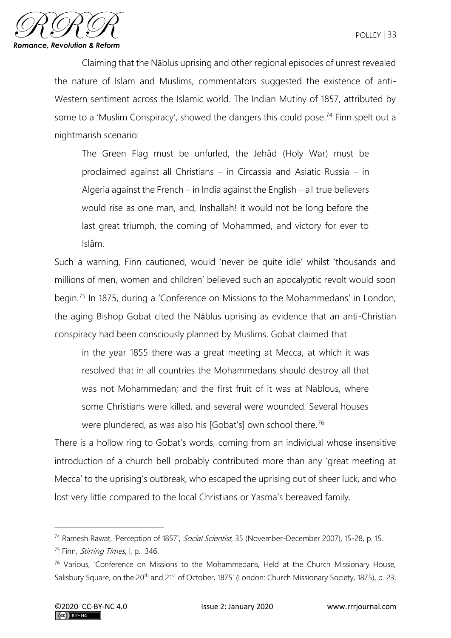

Claiming that the Nāblus uprising and other regional episodes of unrest revealed the nature of Islam and Muslims, commentators suggested the existence of anti-Western sentiment across the Islamic world. The Indian Mutiny of 1857, attributed by some to a 'Muslim Conspiracy', showed the dangers this could pose.<sup>74</sup> Finn spelt out a nightmarish scenario:

The Green Flag must be unfurled, the Jehâd (Holy War) must be proclaimed against all Christians – in Circassia and Asiatic Russia – in Algeria against the French – in India against the English – all true believers would rise as one man, and, Inshallah! it would not be long before the last great triumph, the coming of Mohammed, and victory for ever to Islâm.

Such a warning, Finn cautioned, would 'never be quite idle' whilst 'thousands and millions of men, women and children' believed such an apocalyptic revolt would soon begin.<sup>75</sup> In 1875, during a 'Conference on Missions to the Mohammedans' in London, the aging Bishop Gobat cited the Nāblus uprising as evidence that an anti-Christian conspiracy had been consciously planned by Muslims. Gobat claimed that

in the year 1855 there was a great meeting at Mecca, at which it was resolved that in all countries the Mohammedans should destroy all that was not Mohammedan; and the first fruit of it was at Nablous, where some Christians were killed, and several were wounded. Several houses were plundered, as was also his [Gobat's] own school there.<sup>76</sup>

There is a hollow ring to Gobat's words, coming from an individual whose insensitive introduction of a church bell probably contributed more than any 'great meeting at Mecca' to the uprising's outbreak, who escaped the uprising out of sheer luck, and who lost very little compared to the local Christians or Yasma's bereaved family.

<sup>&</sup>lt;sup>74</sup> Ramesh Rawat, 'Perception of 1857', Social Scientist, 35 (November-December 2007), 15-28, p. 15.

<sup>&</sup>lt;sup>75</sup> Finn, *Stirring Times*, I, p. 346.

<sup>&</sup>lt;sup>76</sup> Various, 'Conference on Missions to the Mohammedans, Held at the Church Missionary House, Salisbury Square, on the 20<sup>th</sup> and 21<sup>st</sup> of October, 1875' (London: Church Missionary Society, 1875), p. 23.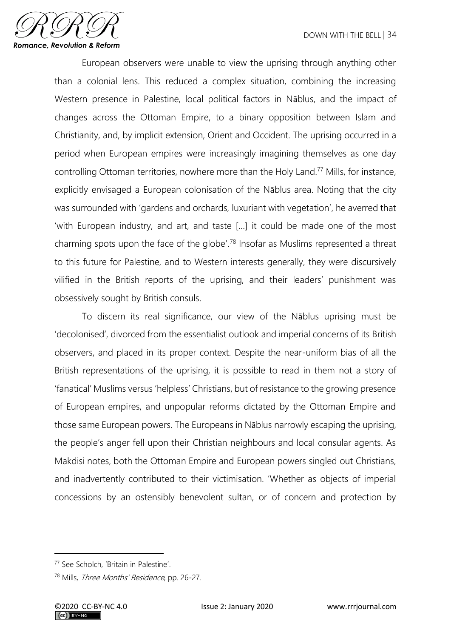

European observers were unable to view the uprising through anything other than a colonial lens. This reduced a complex situation, combining the increasing Western presence in Palestine, local political factors in Nāblus, and the impact of changes across the Ottoman Empire, to a binary opposition between Islam and Christianity, and, by implicit extension, Orient and Occident. The uprising occurred in a period when European empires were increasingly imagining themselves as one day controlling Ottoman territories, nowhere more than the Holy Land.<sup>77</sup> Mills, for instance, explicitly envisaged a European colonisation of the Nāblus area. Noting that the city was surrounded with 'gardens and orchards, luxuriant with vegetation', he averred that 'with European industry, and art, and taste […] it could be made one of the most charming spots upon the face of the globe'.<sup>78</sup> Insofar as Muslims represented a threat to this future for Palestine, and to Western interests generally, they were discursively vilified in the British reports of the uprising, and their leaders' punishment was obsessively sought by British consuls.

To discern its real significance, our view of the Nāblus uprising must be 'decolonised', divorced from the essentialist outlook and imperial concerns of its British observers, and placed in its proper context. Despite the near-uniform bias of all the British representations of the uprising, it is possible to read in them not a story of 'fanatical' Muslims versus 'helpless' Christians, but of resistance to the growing presence of European empires, and unpopular reforms dictated by the Ottoman Empire and those same European powers. The Europeans in Nāblus narrowly escaping the uprising, the people's anger fell upon their Christian neighbours and local consular agents. As Makdisi notes, both the Ottoman Empire and European powers singled out Christians, and inadvertently contributed to their victimisation. 'Whether as objects of imperial concessions by an ostensibly benevolent sultan, or of concern and protection by

<sup>77</sup> See Scholch, 'Britain in Palestine'.

<sup>78</sup> Mills, Three Months' Residence, pp. 26-27.